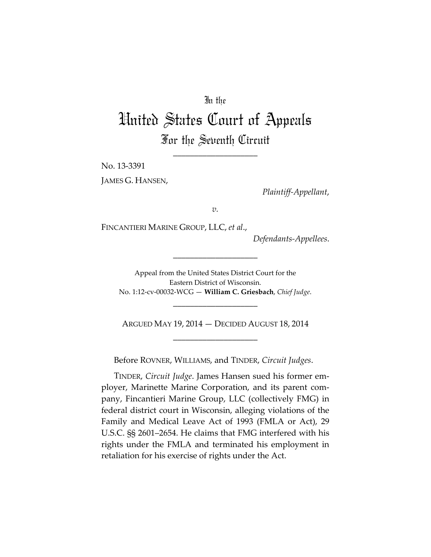# In the

# United States Court of Appeals For the Seventh Circuit

\_\_\_\_\_\_\_\_\_\_\_\_\_\_\_\_\_\_\_\_

No. 13-3391

JAMES G. HANSEN,

*Plaintiff-Appellant*,

*v.*

FINCANTIERI MARINE GROUP, LLC, *et al*.,

*Defendants-Appellees*.

Appeal from the United States District Court for the Eastern District of Wisconsin. No. 1:12-cv-00032-WCG — **William C. Griesbach**, *Chief Judge*.

\_\_\_\_\_\_\_\_\_\_\_\_\_\_\_\_\_\_\_\_

\_\_\_\_\_\_\_\_\_\_\_\_\_\_\_\_\_\_\_\_

ARGUED MAY 19, 2014 — DECIDED AUGUST 18, 2014 \_\_\_\_\_\_\_\_\_\_\_\_\_\_\_\_\_\_\_\_

Before ROVNER, WILLIAMS, and TINDER, *Circuit Judges*.

TINDER, *Circuit Judge*. James Hansen sued his former employer, Marinette Marine Corporation, and its parent company, Fincantieri Marine Group, LLC (collectively FMG) in federal district court in Wisconsin, alleging violations of the Family and Medical Leave Act of 1993 (FMLA or Act), 29 U.S.C. §§ 2601–2654. He claims that FMG interfered with his rights under the FMLA and terminated his employment in retaliation for his exercise of rights under the Act.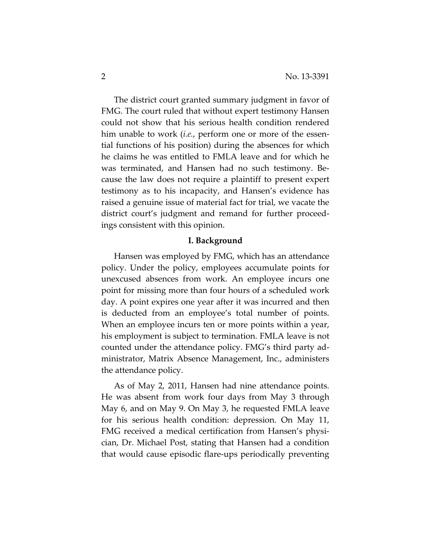The district court granted summary judgment in favor of FMG. The court ruled that without expert testimony Hansen could not show that his serious health condition rendered him unable to work (*i.e.*, perform one or more of the essential functions of his position) during the absences for which he claims he was entitled to FMLA leave and for which he was terminated, and Hansen had no such testimony. Because the law does not require a plaintiff to present expert testimony as to his incapacity, and Hansen's evidence has raised a genuine issue of material fact for trial, we vacate the district court's judgment and remand for further proceedings consistent with this opinion.

### **I. Background**

Hansen was employed by FMG, which has an attendance policy. Under the policy, employees accumulate points for unexcused absences from work. An employee incurs one point for missing more than four hours of a scheduled work day. A point expires one year after it was incurred and then is deducted from an employee's total number of points. When an employee incurs ten or more points within a year, his employment is subject to termination. FMLA leave is not counted under the attendance policy. FMG's third party administrator, Matrix Absence Management, Inc., administers the attendance policy.

As of May 2, 2011, Hansen had nine attendance points. He was absent from work four days from May 3 through May 6, and on May 9. On May 3, he requested FMLA leave for his serious health condition: depression. On May 11, FMG received a medical certification from Hansen's physician, Dr. Michael Post, stating that Hansen had a condition that would cause episodic flare-ups periodically preventing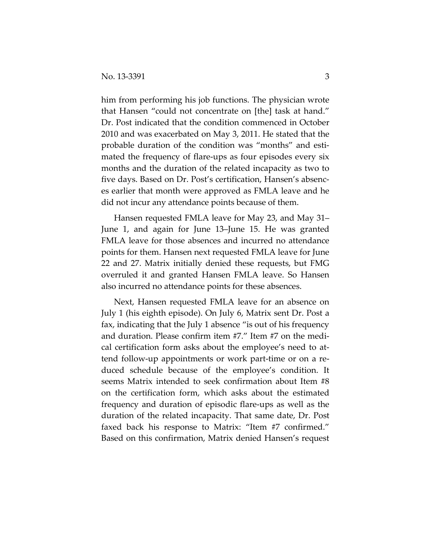him from performing his job functions. The physician wrote that Hansen "could not concentrate on [the] task at hand." Dr. Post indicated that the condition commenced in October 2010 and was exacerbated on May 3, 2011. He stated that the probable duration of the condition was "months" and estimated the frequency of flare-ups as four episodes every six months and the duration of the related incapacity as two to five days. Based on Dr. Post's certification, Hansen's absences earlier that month were approved as FMLA leave and he did not incur any attendance points because of them.

Hansen requested FMLA leave for May 23, and May 31– June 1, and again for June 13–June 15. He was granted FMLA leave for those absences and incurred no attendance points for them. Hansen next requested FMLA leave for June 22 and 27. Matrix initially denied these requests, but FMG overruled it and granted Hansen FMLA leave. So Hansen also incurred no attendance points for these absences.

Next, Hansen requested FMLA leave for an absence on July 1 (his eighth episode). On July 6, Matrix sent Dr. Post a fax, indicating that the July 1 absence "is out of his frequency and duration. Please confirm item #7." Item #7 on the medical certification form asks about the employee's need to attend follow-up appointments or work part-time or on a reduced schedule because of the employee's condition. It seems Matrix intended to seek confirmation about Item #8 on the certification form, which asks about the estimated frequency and duration of episodic flare-ups as well as the duration of the related incapacity. That same date, Dr. Post faxed back his response to Matrix: "Item #7 confirmed." Based on this confirmation, Matrix denied Hansen's request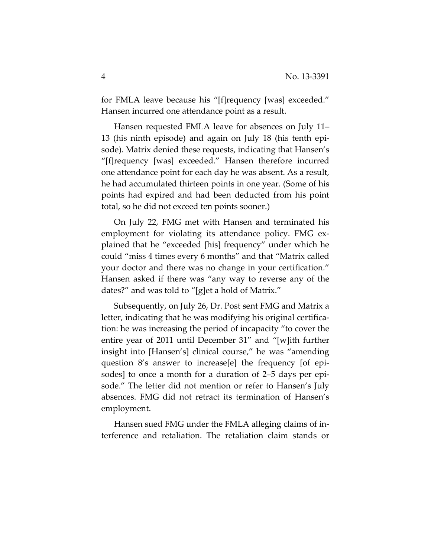for FMLA leave because his "[f]requency [was] exceeded." Hansen incurred one attendance point as a result.

Hansen requested FMLA leave for absences on July 11– 13 (his ninth episode) and again on July 18 (his tenth episode). Matrix denied these requests, indicating that Hansen's "[f]requency [was] exceeded." Hansen therefore incurred one attendance point for each day he was absent. As a result, he had accumulated thirteen points in one year. (Some of his points had expired and had been deducted from his point total, so he did not exceed ten points sooner.)

On July 22, FMG met with Hansen and terminated his employment for violating its attendance policy. FMG explained that he "exceeded [his] frequency" under which he could "miss 4 times every 6 months" and that "Matrix called your doctor and there was no change in your certification." Hansen asked if there was "any way to reverse any of the dates?" and was told to "[g]et a hold of Matrix."

Subsequently, on July 26, Dr. Post sent FMG and Matrix a letter, indicating that he was modifying his original certification: he was increasing the period of incapacity "to cover the entire year of 2011 until December 31" and "[w]ith further insight into [Hansen's] clinical course," he was "amending question 8's answer to increase[e] the frequency [of episodes] to once a month for a duration of 2–5 days per episode." The letter did not mention or refer to Hansen's July absences. FMG did not retract its termination of Hansen's employment.

Hansen sued FMG under the FMLA alleging claims of interference and retaliation. The retaliation claim stands or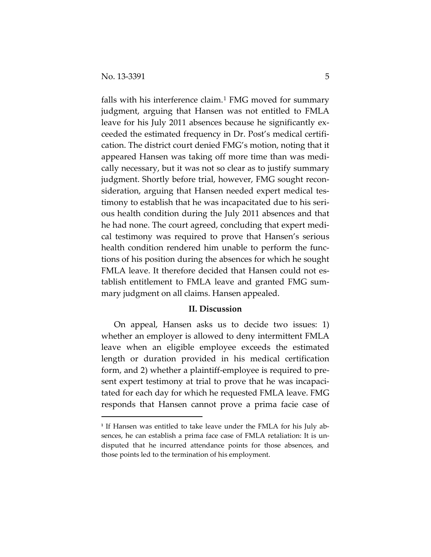$\overline{a}$ 

falls with his interference claim.<sup>[1](#page-4-0)</sup> FMG moved for summary judgment, arguing that Hansen was not entitled to FMLA leave for his July 2011 absences because he significantly exceeded the estimated frequency in Dr. Post's medical certification. The district court denied FMG's motion, noting that it appeared Hansen was taking off more time than was medically necessary, but it was not so clear as to justify summary judgment. Shortly before trial, however, FMG sought reconsideration, arguing that Hansen needed expert medical testimony to establish that he was incapacitated due to his serious health condition during the July 2011 absences and that he had none. The court agreed, concluding that expert medical testimony was required to prove that Hansen's serious health condition rendered him unable to perform the functions of his position during the absences for which he sought FMLA leave. It therefore decided that Hansen could not establish entitlement to FMLA leave and granted FMG summary judgment on all claims. Hansen appealed.

## **II. Discussion**

On appeal, Hansen asks us to decide two issues: 1) whether an employer is allowed to deny intermittent FMLA leave when an eligible employee exceeds the estimated length or duration provided in his medical certification form, and 2) whether a plaintiff-employee is required to present expert testimony at trial to prove that he was incapacitated for each day for which he requested FMLA leave. FMG responds that Hansen cannot prove a prima facie case of

<span id="page-4-0"></span><sup>&</sup>lt;sup>1</sup> If Hansen was entitled to take leave under the FMLA for his July absences, he can establish a prima face case of FMLA retaliation: It is undisputed that he incurred attendance points for those absences, and those points led to the termination of his employment.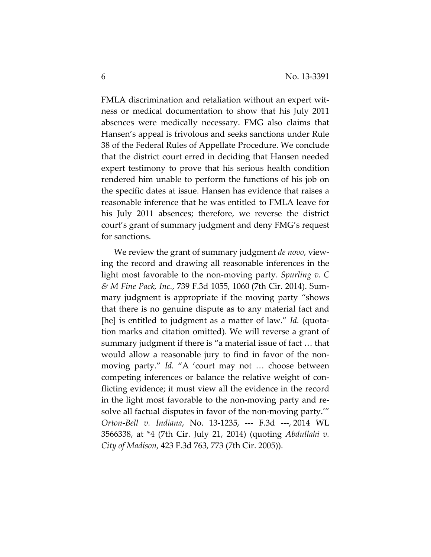FMLA discrimination and retaliation without an expert witness or medical documentation to show that his July 2011 absences were medically necessary. FMG also claims that Hansen's appeal is frivolous and seeks sanctions under Rule 38 of the Federal Rules of Appellate Procedure. We conclude that the district court erred in deciding that Hansen needed expert testimony to prove that his serious health condition rendered him unable to perform the functions of his job on the specific dates at issue. Hansen has evidence that raises a reasonable inference that he was entitled to FMLA leave for his July 2011 absences; therefore, we reverse the district court's grant of summary judgment and deny FMG's request for sanctions.

We review the grant of summary judgment *de novo*, viewing the record and drawing all reasonable inferences in the light most favorable to the non-moving party. *Spurling v. C & M Fine Pack, Inc.*, 739 F.3d 1055, 1060 (7th Cir. 2014). Summary judgment is appropriate if the moving party "shows that there is no genuine dispute as to any material fact and [he] is entitled to judgment as a matter of law." *Id.* (quotation marks and citation omitted). We will reverse a grant of summary judgment if there is "a material issue of fact … that would allow a reasonable jury to find in favor of the nonmoving party." *Id.* "A 'court may not … choose between competing inferences or balance the relative weight of conflicting evidence; it must view all the evidence in the record in the light most favorable to the non-moving party and resolve all factual disputes in favor of the non-moving party.'" *Orton-Bell v. Indiana*, No. 13-1235, --- F.3d ---, 2014 WL 3566338, at \*4 (7th Cir. July 21, 2014) (quoting *Abdullahi v. City of Madison*, 423 F.3d 763, 773 (7th Cir. 2005)).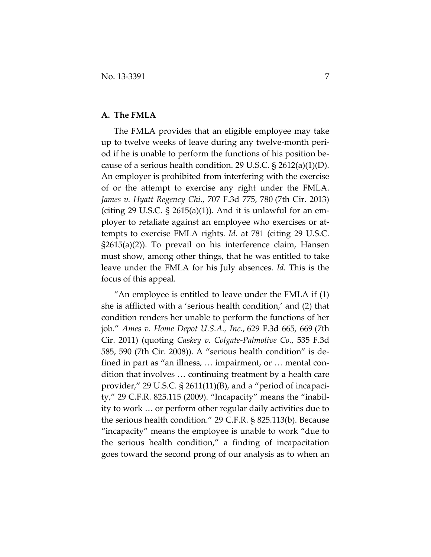# **A. The FMLA**

The FMLA provides that an eligible employee may take up to twelve weeks of leave during any twelve-month period if he is unable to perform the functions of his position because of a serious health condition. 29 U.S.C.  $\S 2612(a)(1)(D)$ . An employer is prohibited from interfering with the exercise of or the attempt to exercise any right under the FMLA. *James v. Hyatt Regency Chi.*, 707 F.3d 775, 780 (7th Cir. 2013) (citing 29 U.S.C.  $\S$  2615(a)(1)). And it is unlawful for an employer to retaliate against an employee who exercises or attempts to exercise FMLA rights. *Id.* at 781 (citing 29 U.S.C. §2615(a)(2)). To prevail on his interference claim, Hansen must show, among other things, that he was entitled to take leave under the FMLA for his July absences. *Id.* This is the focus of this appeal.

"An employee is entitled to leave under the FMLA if  $(1)$ she is afflicted with a 'serious health condition,' and (2) that condition renders her unable to perform the functions of her job." *Ames v. Home Depot U.S.A., Inc.*, 629 F.3d 665, 669 (7th Cir. 2011) (quoting *Caskey v. Colgate-Palmolive Co.*, 535 F.3d 585, 590 (7th Cir. 2008)). A "serious health condition" is defined in part as "an illness, … impairment, or … mental condition that involves … continuing treatment by a health care provider," 29 U.S.C. § 2611(11)(B), and a "period of incapacity," 29 C.F.R. 825.115 (2009). "Incapacity" means the "inability to work … or perform other regular daily activities due to the serious health condition." 29 C.F.R. § 825.113(b). Because "incapacity" means the employee is unable to work "due to the serious health condition," a finding of incapacitation goes toward the second prong of our analysis as to when an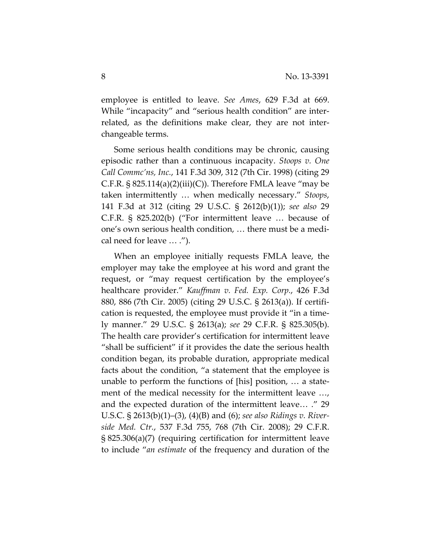employee is entitled to leave. *See Ames*, 629 F.3d at 669. While "incapacity" and "serious health condition" are interrelated, as the definitions make clear, they are not interchangeable terms.

Some serious health conditions may be chronic, causing episodic rather than a continuous incapacity. *Stoops v. One Call Commc'ns, Inc.*, 141 F.3d 309, 312 (7th Cir. 1998) (citing 29 C.F.R.  $\S$  825.114(a)(2)(iii)(C)). Therefore FMLA leave "may be taken intermittently … when medically necessary." *Stoops*, 141 F.3d at 312 (citing 29 U.S.C. § 2612(b)(1)); *see also* 29 C.F.R. § 825.202(b) ("For intermittent leave … because of one's own serious health condition, … there must be a medical need for leave … .").

When an employee initially requests FMLA leave, the employer may take the employee at his word and grant the request, or "may request certification by the employee's healthcare provider." *Kauffman v. Fed. Exp. Corp.*, 426 F.3d 880, 886 (7th Cir. 2005) (citing 29 U.S.C. § 2613(a)). If certification is requested, the employee must provide it "in a timely manner." 29 U.S.C. § 2613(a); *see* 29 C.F.R. § 825.305(b). The health care provider's certification for intermittent leave "shall be sufficient" if it provides the date the serious health condition began, its probable duration, appropriate medical facts about the condition, "a statement that the employee is unable to perform the functions of [his] position, … a statement of the medical necessity for the intermittent leave …, and the expected duration of the intermittent leave… ." 29 U.S.C. § 2613(b)(1)–(3), (4)(B) and (6); *see also Ridings v. Riverside Med. Ctr.*, 537 F.3d 755, 768 (7th Cir. 2008); 29 C.F.R. § 825.306(a)(7) (requiring certification for intermittent leave to include "*an estimate* of the frequency and duration of the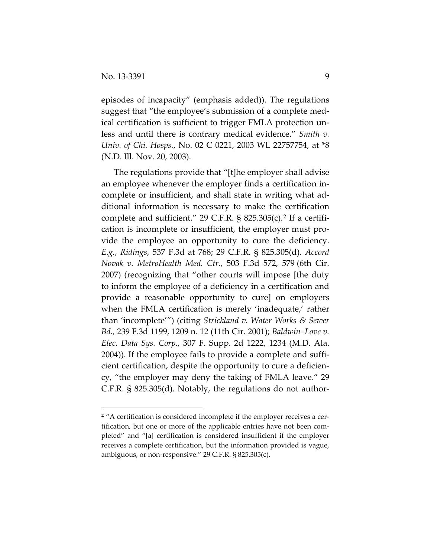$\overline{a}$ 

episodes of incapacity" (emphasis added)). The regulations suggest that "the employee's submission of a complete medical certification is sufficient to trigger FMLA protection unless and until there is contrary medical evidence." *Smith v. Univ. of Chi. Hosps.*, No. 02 C 0221, 2003 WL 22757754, at \*8 (N.D. Ill. Nov. 20, 2003).

The regulations provide that "[t]he employer shall advise an employee whenever the employer finds a certification incomplete or insufficient, and shall state in writing what additional information is necessary to make the certification complete and sufficient." 29 C.F.R. § 825.305(c).[2](#page-8-0) If a certification is incomplete or insufficient, the employer must provide the employee an opportunity to cure the deficiency. *E.g.*, *Ridings*, 537 F.3d at 768; 29 C.F.R. § 825.305(d). *Accord Novak v. MetroHealth Med. Ctr.*, 503 F.3d 572, 579 (6th Cir. 2007) (recognizing that "other courts will impose [the duty to inform the employee of a deficiency in a certification and provide a reasonable opportunity to cure] on employers when the FMLA certification is merely 'inadequate,' rather than 'incomplete'") (citing *Strickland v. Water Works & Sewer Bd.,* 239 F.3d 1199, 1209 n. 12 (11th Cir. 2001); *Baldwin–Love v. Elec. Data Sys. Corp.*, 307 F. Supp. 2d 1222, 1234 (M.D. Ala. 2004)). If the employee fails to provide a complete and sufficient certification, despite the opportunity to cure a deficiency, "the employer may deny the taking of FMLA leave." 29 C.F.R. § 825.305(d). Notably, the regulations do not author-

<span id="page-8-0"></span><sup>&</sup>lt;sup>2</sup> "A certification is considered incomplete if the employer receives a certification, but one or more of the applicable entries have not been completed" and "[a] certification is considered insufficient if the employer receives a complete certification, but the information provided is vague, ambiguous, or non-responsive." 29 C.F.R. § 825.305(c).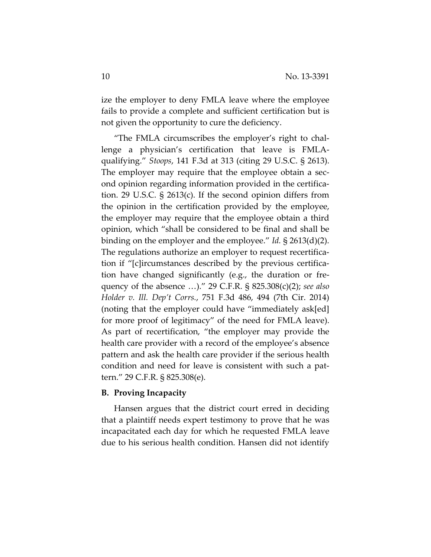ize the employer to deny FMLA leave where the employee fails to provide a complete and sufficient certification but is not given the opportunity to cure the deficiency.

"The FMLA circumscribes the employer's right to challenge a physician's certification that leave is FMLAqualifying." *Stoops*, 141 F.3d at 313 (citing 29 U.S.C. § 2613). The employer may require that the employee obtain a second opinion regarding information provided in the certification. 29 U.S.C. § 2613(c). If the second opinion differs from the opinion in the certification provided by the employee, the employer may require that the employee obtain a third opinion, which "shall be considered to be final and shall be binding on the employer and the employee." *Id.* § 2613(d)(2). The regulations authorize an employer to request recertification if "[c]ircumstances described by the previous certification have changed significantly (e.g., the duration or frequency of the absence …)." 29 C.F.R. § 825.308(c)(2); *see also Holder v. Ill. Dep't Corrs.*, 751 F.3d 486, 494 (7th Cir. 2014) (noting that the employer could have "immediately ask[ed] for more proof of legitimacy" of the need for FMLA leave). As part of recertification, "the employer may provide the health care provider with a record of the employee's absence pattern and ask the health care provider if the serious health condition and need for leave is consistent with such a pattern." 29 C.F.R. § 825.308(e).

### **B. Proving Incapacity**

Hansen argues that the district court erred in deciding that a plaintiff needs expert testimony to prove that he was incapacitated each day for which he requested FMLA leave due to his serious health condition. Hansen did not identify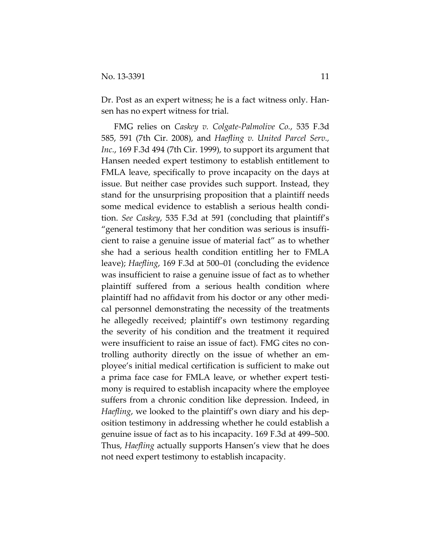Dr. Post as an expert witness; he is a fact witness only. Hansen has no expert witness for trial.

FMG relies on *Caskey v. Colgate-Palmolive Co.*, 535 F.3d 585, 591 (7th Cir. 2008), and *Haefling v. United Parcel Serv., Inc.*, 169 F.3d 494 (7th Cir. 1999), to support its argument that Hansen needed expert testimony to establish entitlement to FMLA leave, specifically to prove incapacity on the days at issue. But neither case provides such support. Instead, they stand for the unsurprising proposition that a plaintiff needs some medical evidence to establish a serious health condition. *See Caskey*, 535 F.3d at 591 (concluding that plaintiff's "general testimony that her condition was serious is insufficient to raise a genuine issue of material fact" as to whether she had a serious health condition entitling her to FMLA leave); *Haefling*, 169 F.3d at 500–01 (concluding the evidence was insufficient to raise a genuine issue of fact as to whether plaintiff suffered from a serious health condition where plaintiff had no affidavit from his doctor or any other medical personnel demonstrating the necessity of the treatments he allegedly received; plaintiff's own testimony regarding the severity of his condition and the treatment it required were insufficient to raise an issue of fact). FMG cites no controlling authority directly on the issue of whether an employee's initial medical certification is sufficient to make out a prima face case for FMLA leave, or whether expert testimony is required to establish incapacity where the employee suffers from a chronic condition like depression. Indeed, in *Haefling*, we looked to the plaintiff's own diary and his deposition testimony in addressing whether he could establish a genuine issue of fact as to his incapacity. 169 F.3d at 499–500. Thus, *Haefling* actually supports Hansen's view that he does not need expert testimony to establish incapacity.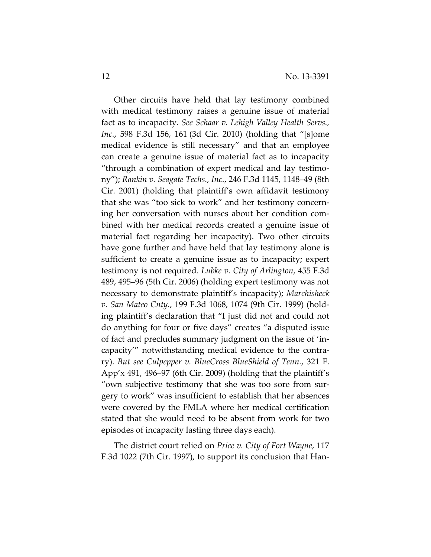Other circuits have held that lay testimony combined with medical testimony raises a genuine issue of material fact as to incapacity. *See Schaar v. Lehigh Valley Health Servs., Inc.*, 598 F.3d 156, 161 (3d Cir. 2010) (holding that "[s]ome medical evidence is still necessary" and that an employee can create a genuine issue of material fact as to incapacity "through a combination of expert medical and lay testimony"); *Rankin v. Seagate Techs., Inc.*, 246 F.3d 1145, 1148–49 (8th Cir. 2001) (holding that plaintiff's own affidavit testimony that she was "too sick to work" and her testimony concerning her conversation with nurses about her condition combined with her medical records created a genuine issue of material fact regarding her incapacity). Two other circuits have gone further and have held that lay testimony alone is sufficient to create a genuine issue as to incapacity; expert testimony is not required. *Lubke v. City of Arlington*, 455 F.3d 489, 495–96 (5th Cir. 2006) (holding expert testimony was not necessary to demonstrate plaintiff's incapacity); *Marchisheck v. San Mateo Cnty.*, 199 F.3d 1068, 1074 (9th Cir. 1999) (holding plaintiff's declaration that "I just did not and could not do anything for four or five days" creates "a disputed issue of fact and precludes summary judgment on the issue of 'incapacity'" notwithstanding medical evidence to the contrary). *But see Culpepper v. BlueCross BlueShield of Tenn.*, 321 F. App'x 491, 496–97 (6th Cir. 2009) (holding that the plaintiff's "own subjective testimony that she was too sore from surgery to work" was insufficient to establish that her absences were covered by the FMLA where her medical certification stated that she would need to be absent from work for two episodes of incapacity lasting three days each).

The district court relied on *Price v. City of Fort Wayne*, 117 F.3d 1022 (7th Cir. 1997), to support its conclusion that Han-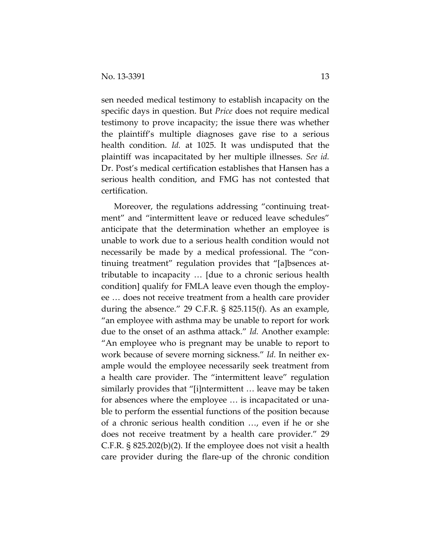sen needed medical testimony to establish incapacity on the specific days in question. But *Price* does not require medical testimony to prove incapacity; the issue there was whether the plaintiff's multiple diagnoses gave rise to a serious health condition. *Id.* at 1025. It was undisputed that the plaintiff was incapacitated by her multiple illnesses. *See id.* Dr. Post's medical certification establishes that Hansen has a serious health condition, and FMG has not contested that certification.

Moreover, the regulations addressing "continuing treatment" and "intermittent leave or reduced leave schedules" anticipate that the determination whether an employee is unable to work due to a serious health condition would not necessarily be made by a medical professional. The "continuing treatment" regulation provides that "[a]bsences attributable to incapacity … [due to a chronic serious health condition] qualify for FMLA leave even though the employee … does not receive treatment from a health care provider during the absence." 29 C.F.R. § 825.115(f). As an example, "an employee with asthma may be unable to report for work due to the onset of an asthma attack." *Id.* Another example: "An employee who is pregnant may be unable to report to work because of severe morning sickness." *Id.* In neither example would the employee necessarily seek treatment from a health care provider. The "intermittent leave" regulation similarly provides that "[i]ntermittent … leave may be taken for absences where the employee … is incapacitated or unable to perform the essential functions of the position because of a chronic serious health condition …, even if he or she does not receive treatment by a health care provider." 29 C.F.R. § 825.202(b)(2). If the employee does not visit a health care provider during the flare-up of the chronic condition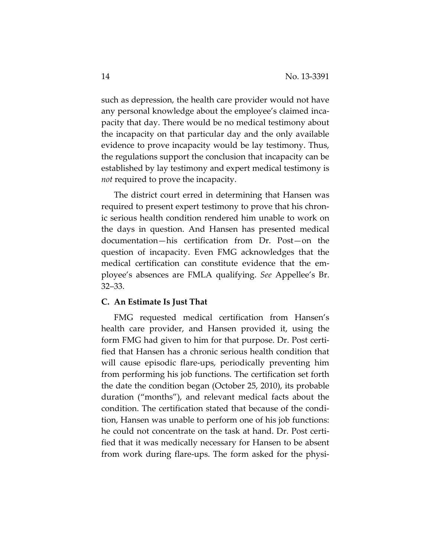such as depression, the health care provider would not have any personal knowledge about the employee's claimed incapacity that day. There would be no medical testimony about the incapacity on that particular day and the only available evidence to prove incapacity would be lay testimony. Thus, the regulations support the conclusion that incapacity can be established by lay testimony and expert medical testimony is *not* required to prove the incapacity.

The district court erred in determining that Hansen was required to present expert testimony to prove that his chronic serious health condition rendered him unable to work on the days in question. And Hansen has presented medical documentation—his certification from Dr. Post—on the question of incapacity. Even FMG acknowledges that the medical certification can constitute evidence that the employee's absences are FMLA qualifying. *See* Appellee's Br. 32–33.

### **C. An Estimate Is Just That**

FMG requested medical certification from Hansen's health care provider, and Hansen provided it, using the form FMG had given to him for that purpose. Dr. Post certified that Hansen has a chronic serious health condition that will cause episodic flare-ups, periodically preventing him from performing his job functions. The certification set forth the date the condition began (October 25, 2010), its probable duration ("months"), and relevant medical facts about the condition. The certification stated that because of the condition, Hansen was unable to perform one of his job functions: he could not concentrate on the task at hand. Dr. Post certified that it was medically necessary for Hansen to be absent from work during flare-ups. The form asked for the physi-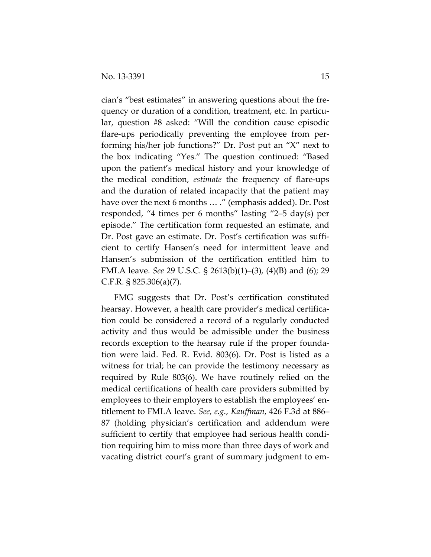cian's "best estimates" in answering questions about the frequency or duration of a condition, treatment, etc. In particular, question #8 asked: "Will the condition cause episodic flare-ups periodically preventing the employee from performing his/her job functions?" Dr. Post put an "X" next to the box indicating "Yes." The question continued: "Based upon the patient's medical history and your knowledge of the medical condition, *estimate* the frequency of flare-ups and the duration of related incapacity that the patient may have over the next 6 months … ." (emphasis added). Dr. Post responded, "4 times per 6 months" lasting "2–5 day(s) per episode." The certification form requested an estimate, and Dr. Post gave an estimate. Dr. Post's certification was sufficient to certify Hansen's need for intermittent leave and Hansen's submission of the certification entitled him to FMLA leave. *See* 29 U.S.C. § 2613(b)(1)–(3), (4)(B) and (6); 29 C.F.R. § 825.306(a)(7).

FMG suggests that Dr. Post's certification constituted hearsay. However, a health care provider's medical certification could be considered a record of a regularly conducted activity and thus would be admissible under the business records exception to the hearsay rule if the proper foundation were laid. Fed. R. Evid. 803(6). Dr. Post is listed as a witness for trial; he can provide the testimony necessary as required by Rule 803(6). We have routinely relied on the medical certifications of health care providers submitted by employees to their employers to establish the employees' entitlement to FMLA leave. *See, e.g.*, *Kauffman*, 426 F.3d at 886– 87 (holding physician's certification and addendum were sufficient to certify that employee had serious health condition requiring him to miss more than three days of work and vacating district court's grant of summary judgment to em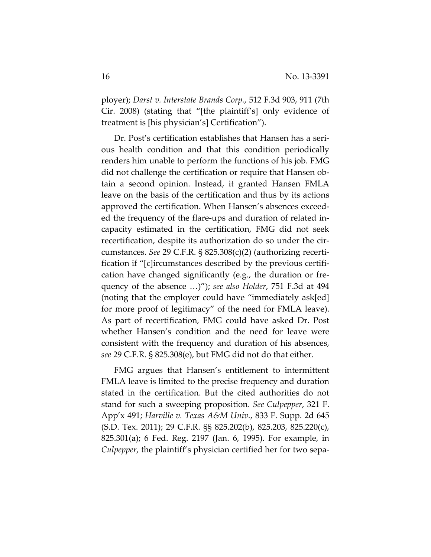ployer); *Darst v. Interstate Brands Corp.*, 512 F.3d 903, 911 (7th Cir. 2008) (stating that "[the plaintiff's] only evidence of treatment is [his physician's] Certification").

Dr. Post's certification establishes that Hansen has a serious health condition and that this condition periodically renders him unable to perform the functions of his job. FMG did not challenge the certification or require that Hansen obtain a second opinion. Instead, it granted Hansen FMLA leave on the basis of the certification and thus by its actions approved the certification. When Hansen's absences exceeded the frequency of the flare-ups and duration of related incapacity estimated in the certification, FMG did not seek recertification, despite its authorization do so under the circumstances. *See* 29 C.F.R. § 825.308(c)(2) (authorizing recertification if "[c]ircumstances described by the previous certification have changed significantly (e.g., the duration or frequency of the absence …)"); *see also Holder*, 751 F.3d at 494 (noting that the employer could have "immediately ask[ed] for more proof of legitimacy" of the need for FMLA leave). As part of recertification, FMG could have asked Dr. Post whether Hansen's condition and the need for leave were consistent with the frequency and duration of his absences, *see* 29 C.F.R. § 825.308(e), but FMG did not do that either.

FMG argues that Hansen's entitlement to intermittent FMLA leave is limited to the precise frequency and duration stated in the certification. But the cited authorities do not stand for such a sweeping proposition. *See Culpepper*, 321 F. App'x 491; *Harville v. Texas A&M Univ.*, 833 F. Supp. 2d 645 (S.D. Tex. 2011); 29 C.F.R. §§ 825.202(b), 825.203, 825.220(c), 825.301(a); 6 Fed. Reg. 2197 (Jan. 6, 1995). For example, in *Culpepper*, the plaintiff's physician certified her for two sepa-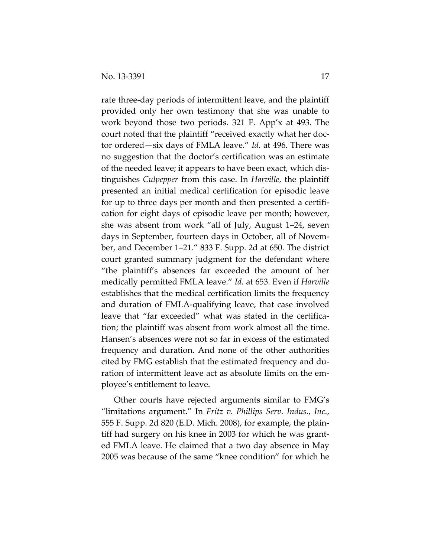rate three-day periods of intermittent leave, and the plaintiff provided only her own testimony that she was unable to work beyond those two periods. 321 F. App'x at 493. The court noted that the plaintiff "received exactly what her doctor ordered—six days of FMLA leave." *Id.* at 496. There was no suggestion that the doctor's certification was an estimate of the needed leave; it appears to have been exact, which distinguishes *Culpepper* from this case. In *Harville*, the plaintiff presented an initial medical certification for episodic leave for up to three days per month and then presented a certification for eight days of episodic leave per month; however, she was absent from work "all of July, August 1–24, seven days in September, fourteen days in October, all of November, and December 1–21." 833 F. Supp. 2d at 650. The district court granted summary judgment for the defendant where "the plaintiff's absences far exceeded the amount of her medically permitted FMLA leave." *Id.* at 653. Even if *Harville* establishes that the medical certification limits the frequency and duration of FMLA-qualifying leave, that case involved leave that "far exceeded" what was stated in the certification; the plaintiff was absent from work almost all the time. Hansen's absences were not so far in excess of the estimated frequency and duration. And none of the other authorities cited by FMG establish that the estimated frequency and duration of intermittent leave act as absolute limits on the employee's entitlement to leave.

Other courts have rejected arguments similar to FMG's "limitations argument." In *Fritz v. Phillips Serv. Indus., Inc.*, 555 F. Supp. 2d 820 (E.D. Mich. 2008), for example, the plaintiff had surgery on his knee in 2003 for which he was granted FMLA leave. He claimed that a two day absence in May 2005 was because of the same "knee condition" for which he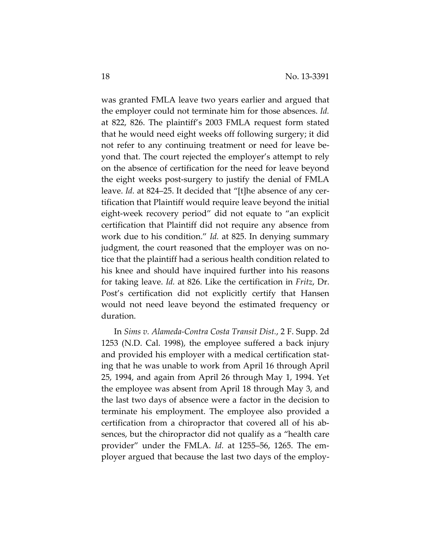was granted FMLA leave two years earlier and argued that the employer could not terminate him for those absences. *Id.* at 822, 826. The plaintiff's 2003 FMLA request form stated that he would need eight weeks off following surgery; it did not refer to any continuing treatment or need for leave beyond that. The court rejected the employer's attempt to rely on the absence of certification for the need for leave beyond the eight weeks post-surgery to justify the denial of FMLA leave. *Id.* at 824–25. It decided that "[t]he absence of any certification that Plaintiff would require leave beyond the initial eight-week recovery period" did not equate to "an explicit certification that Plaintiff did not require any absence from work due to his condition." *Id.* at 825. In denying summary judgment, the court reasoned that the employer was on notice that the plaintiff had a serious health condition related to his knee and should have inquired further into his reasons for taking leave. *Id.* at 826. Like the certification in *Fritz*, Dr. Post's certification did not explicitly certify that Hansen would not need leave beyond the estimated frequency or duration.

In *Sims v. Alameda-Contra Costa Transit Dist.*, 2 F. Supp. 2d 1253 (N.D. Cal. 1998), the employee suffered a back injury and provided his employer with a medical certification stating that he was unable to work from April 16 through April 25, 1994, and again from April 26 through May 1, 1994. Yet the employee was absent from April 18 through May 3, and the last two days of absence were a factor in the decision to terminate his employment. The employee also provided a certification from a chiropractor that covered all of his absences, but the chiropractor did not qualify as a "health care provider" under the FMLA. *Id.* at 1255–56, 1265. The employer argued that because the last two days of the employ-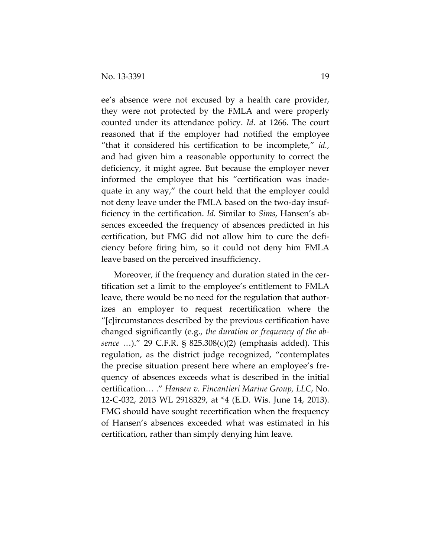ee's absence were not excused by a health care provider, they were not protected by the FMLA and were properly counted under its attendance policy. *Id.* at 1266. The court reasoned that if the employer had notified the employee "that it considered his certification to be incomplete," *id.*, and had given him a reasonable opportunity to correct the deficiency, it might agree. But because the employer never informed the employee that his "certification was inadequate in any way," the court held that the employer could not deny leave under the FMLA based on the two-day insufficiency in the certification. *Id.* Similar to *Sims*, Hansen's absences exceeded the frequency of absences predicted in his certification, but FMG did not allow him to cure the deficiency before firing him, so it could not deny him FMLA leave based on the perceived insufficiency.

Moreover, if the frequency and duration stated in the certification set a limit to the employee's entitlement to FMLA leave, there would be no need for the regulation that authorizes an employer to request recertification where the "[c]ircumstances described by the previous certification have changed significantly (e.g., *the duration or frequency of the absence* …)." 29 C.F.R. § 825.308(c)(2) (emphasis added). This regulation, as the district judge recognized, "contemplates the precise situation present here where an employee's frequency of absences exceeds what is described in the initial certification… ." *Hansen v. Fincantieri Marine Group, LLC*, No. 12-C-032, 2013 WL 2918329, at \*4 (E.D. Wis. June 14, 2013). FMG should have sought recertification when the frequency of Hansen's absences exceeded what was estimated in his certification, rather than simply denying him leave.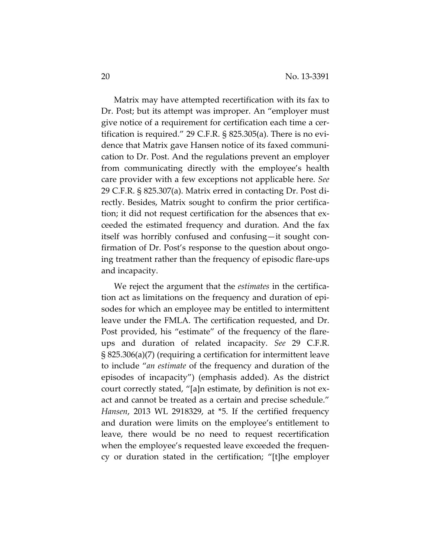Matrix may have attempted recertification with its fax to Dr. Post; but its attempt was improper. An "employer must give notice of a requirement for certification each time a certification is required." 29 C.F.R. § 825.305(a). There is no evidence that Matrix gave Hansen notice of its faxed communication to Dr. Post. And the regulations prevent an employer from communicating directly with the employee's health care provider with a few exceptions not applicable here. *See* 29 C.F.R. § 825.307(a). Matrix erred in contacting Dr. Post directly. Besides, Matrix sought to confirm the prior certification; it did not request certification for the absences that exceeded the estimated frequency and duration. And the fax itself was horribly confused and confusing—it sought confirmation of Dr. Post's response to the question about ongoing treatment rather than the frequency of episodic flare-ups and incapacity.

We reject the argument that the *estimates* in the certification act as limitations on the frequency and duration of episodes for which an employee may be entitled to intermittent leave under the FMLA. The certification requested, and Dr. Post provided, his "estimate" of the frequency of the flareups and duration of related incapacity. *See* 29 C.F.R. § 825.306(a)(7) (requiring a certification for intermittent leave to include "*an estimate* of the frequency and duration of the episodes of incapacity") (emphasis added). As the district court correctly stated, "[a]n estimate, by definition is not exact and cannot be treated as a certain and precise schedule." *Hansen*, 2013 WL 2918329, at \*5. If the certified frequency and duration were limits on the employee's entitlement to leave, there would be no need to request recertification when the employee's requested leave exceeded the frequency or duration stated in the certification; "[t]he employer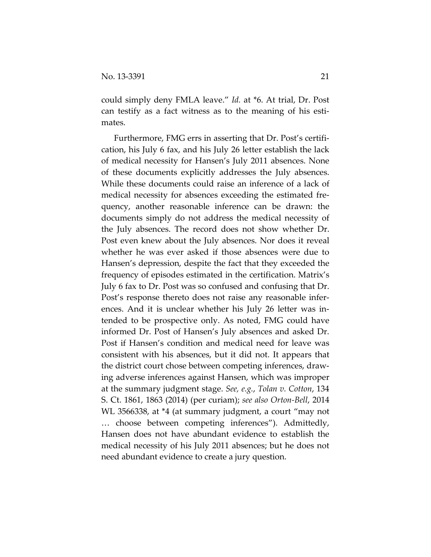could simply deny FMLA leave." *Id.* at \*6. At trial, Dr. Post can testify as a fact witness as to the meaning of his estimates.

Furthermore, FMG errs in asserting that Dr. Post's certification, his July 6 fax, and his July 26 letter establish the lack of medical necessity for Hansen's July 2011 absences. None of these documents explicitly addresses the July absences. While these documents could raise an inference of a lack of medical necessity for absences exceeding the estimated frequency, another reasonable inference can be drawn: the documents simply do not address the medical necessity of the July absences. The record does not show whether Dr. Post even knew about the July absences. Nor does it reveal whether he was ever asked if those absences were due to Hansen's depression, despite the fact that they exceeded the frequency of episodes estimated in the certification. Matrix's July 6 fax to Dr. Post was so confused and confusing that Dr. Post's response thereto does not raise any reasonable inferences. And it is unclear whether his July 26 letter was intended to be prospective only. As noted, FMG could have informed Dr. Post of Hansen's July absences and asked Dr. Post if Hansen's condition and medical need for leave was consistent with his absences, but it did not. It appears that the district court chose between competing inferences, drawing adverse inferences against Hansen, which was improper at the summary judgment stage. *See, e.g.*, *Tolan v. Cotton*, 134 S. Ct. 1861, 1863 (2014) (per curiam); *see also Orton-Bell*, 2014 WL 3566338, at \*4 (at summary judgment, a court "may not … choose between competing inferences"). Admittedly, Hansen does not have abundant evidence to establish the medical necessity of his July 2011 absences; but he does not need abundant evidence to create a jury question.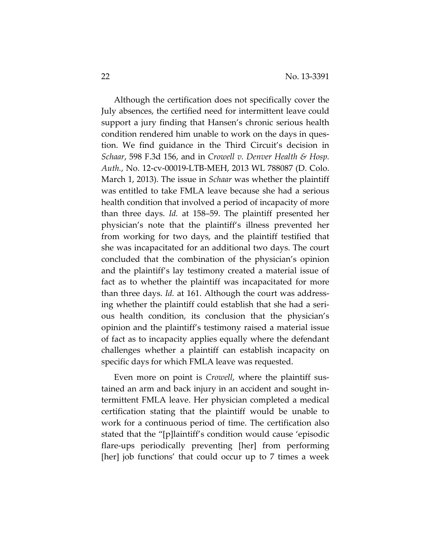Although the certification does not specifically cover the July absences, the certified need for intermittent leave could support a jury finding that Hansen's chronic serious health condition rendered him unable to work on the days in question. We find guidance in the Third Circuit's decision in *Schaar*, 598 F.3d 156, and in *Crowell v. Denver Health & Hosp. Auth.*, No. 12-cv-00019-LTB-MEH, 2013 WL 788087 (D. Colo. March 1, 2013). The issue in *Schaar* was whether the plaintiff was entitled to take FMLA leave because she had a serious health condition that involved a period of incapacity of more than three days. *Id.* at 158–59. The plaintiff presented her physician's note that the plaintiff's illness prevented her from working for two days, and the plaintiff testified that she was incapacitated for an additional two days. The court concluded that the combination of the physician's opinion and the plaintiff's lay testimony created a material issue of fact as to whether the plaintiff was incapacitated for more than three days. *Id.* at 161. Although the court was addressing whether the plaintiff could establish that she had a serious health condition, its conclusion that the physician's opinion and the plaintiff's testimony raised a material issue of fact as to incapacity applies equally where the defendant challenges whether a plaintiff can establish incapacity on specific days for which FMLA leave was requested.

Even more on point is *Crowell*, where the plaintiff sustained an arm and back injury in an accident and sought intermittent FMLA leave. Her physician completed a medical certification stating that the plaintiff would be unable to work for a continuous period of time. The certification also stated that the "[p]laintiff's condition would cause 'episodic flare-ups periodically preventing [her] from performing [her] job functions' that could occur up to 7 times a week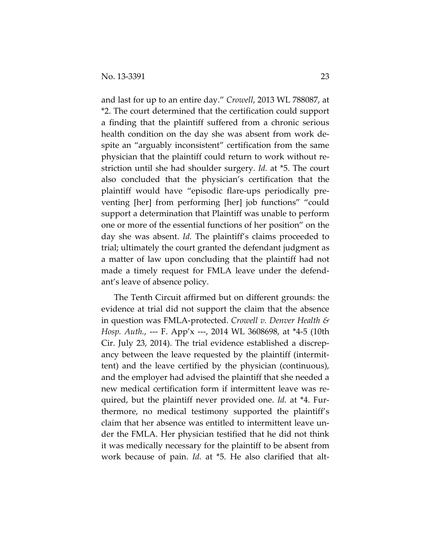and last for up to an entire day." *Crowell*, 2013 WL 788087, at \*2. The court determined that the certification could support a finding that the plaintiff suffered from a chronic serious health condition on the day she was absent from work despite an "arguably inconsistent" certification from the same physician that the plaintiff could return to work without restriction until she had shoulder surgery. *Id.* at \*5. The court also concluded that the physician's certification that the plaintiff would have "episodic flare-ups periodically preventing [her] from performing [her] job functions" "could support a determination that Plaintiff was unable to perform one or more of the essential functions of her position" on the day she was absent. *Id.* The plaintiff's claims proceeded to trial; ultimately the court granted the defendant judgment as a matter of law upon concluding that the plaintiff had not made a timely request for FMLA leave under the defendant's leave of absence policy.

The Tenth Circuit affirmed but on different grounds: the evidence at trial did not support the claim that the absence in question was FMLA-protected. *Crowell v. Denver Health & Hosp. Auth.*, --- F. App'x ---, 2014 WL 3608698, at \*4-5 (10th Cir. July 23, 2014). The trial evidence established a discrepancy between the leave requested by the plaintiff (intermittent) and the leave certified by the physician (continuous), and the employer had advised the plaintiff that she needed a new medical certification form if intermittent leave was required, but the plaintiff never provided one. *Id.* at \*4. Furthermore, no medical testimony supported the plaintiff's claim that her absence was entitled to intermittent leave under the FMLA. Her physician testified that he did not think it was medically necessary for the plaintiff to be absent from work because of pain. *Id.* at \*5. He also clarified that alt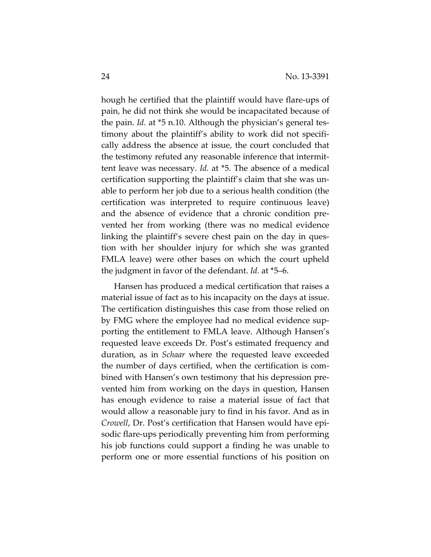hough he certified that the plaintiff would have flare-ups of pain, he did not think she would be incapacitated because of the pain. *Id.* at \*5 n.10. Although the physician's general testimony about the plaintiff's ability to work did not specifically address the absence at issue, the court concluded that the testimony refuted any reasonable inference that intermittent leave was necessary. *Id.* at \*5. The absence of a medical certification supporting the plaintiff's claim that she was unable to perform her job due to a serious health condition (the certification was interpreted to require continuous leave) and the absence of evidence that a chronic condition prevented her from working (there was no medical evidence linking the plaintiff's severe chest pain on the day in question with her shoulder injury for which she was granted FMLA leave) were other bases on which the court upheld the judgment in favor of the defendant. *Id.* at \*5–6.

Hansen has produced a medical certification that raises a material issue of fact as to his incapacity on the days at issue. The certification distinguishes this case from those relied on by FMG where the employee had no medical evidence supporting the entitlement to FMLA leave. Although Hansen's requested leave exceeds Dr. Post's estimated frequency and duration, as in *Schaar* where the requested leave exceeded the number of days certified, when the certification is combined with Hansen's own testimony that his depression prevented him from working on the days in question, Hansen has enough evidence to raise a material issue of fact that would allow a reasonable jury to find in his favor. And as in *Crowell*, Dr. Post's certification that Hansen would have episodic flare-ups periodically preventing him from performing his job functions could support a finding he was unable to perform one or more essential functions of his position on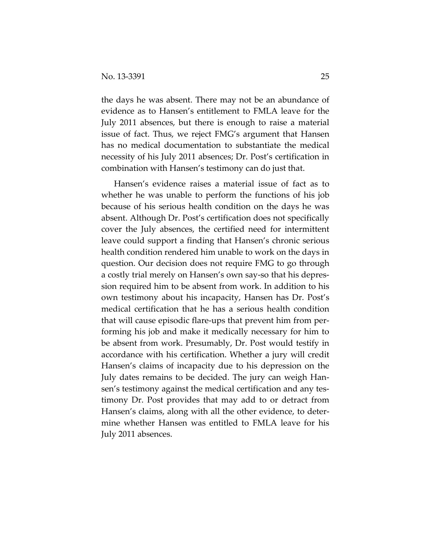the days he was absent. There may not be an abundance of evidence as to Hansen's entitlement to FMLA leave for the July 2011 absences, but there is enough to raise a material issue of fact. Thus, we reject FMG's argument that Hansen has no medical documentation to substantiate the medical necessity of his July 2011 absences; Dr. Post's certification in combination with Hansen's testimony can do just that.

Hansen's evidence raises a material issue of fact as to whether he was unable to perform the functions of his job because of his serious health condition on the days he was absent. Although Dr. Post's certification does not specifically cover the July absences, the certified need for intermittent leave could support a finding that Hansen's chronic serious health condition rendered him unable to work on the days in question. Our decision does not require FMG to go through a costly trial merely on Hansen's own say-so that his depression required him to be absent from work. In addition to his own testimony about his incapacity, Hansen has Dr. Post's medical certification that he has a serious health condition that will cause episodic flare-ups that prevent him from performing his job and make it medically necessary for him to be absent from work. Presumably, Dr. Post would testify in accordance with his certification. Whether a jury will credit Hansen's claims of incapacity due to his depression on the July dates remains to be decided. The jury can weigh Hansen's testimony against the medical certification and any testimony Dr. Post provides that may add to or detract from Hansen's claims, along with all the other evidence, to determine whether Hansen was entitled to FMLA leave for his July 2011 absences.